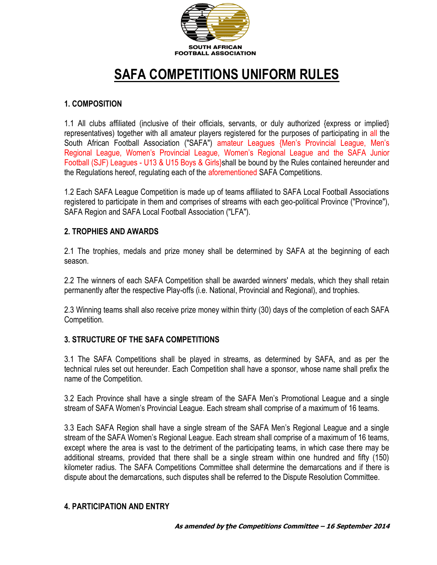

# **SAFA COMPETITIONS UNIFORM RULES**

### **1. COMPOSITION**

1.1 All clubs affiliated (inclusive of their officials, servants, or duly authorized {express or implied} representatives) together with all amateur players registered for the purposes of participating in all the South African Football Association ("SAFA") amateur Leagues {Men's Provincial League, Men's Regional League, Women's Provincial League, Women's Regional League and the SAFA Junior Football (SJF) Leagues - U13 & U15 Boys & Girls}shall be bound by the Rules contained hereunder and the Regulations hereof, regulating each of the aforementioned SAFA Competitions.

1.2 Each SAFA League Competition is made up of teams affiliated to SAFA Local Football Associations registered to participate in them and comprises of streams with each geo-political Province ("Province"), SAFA Region and SAFA Local Football Association ("LFA").

#### **2. TROPHIES AND AWARDS**

2.1 The trophies, medals and prize money shall be determined by SAFA at the beginning of each season.

2.2 The winners of each SAFA Competition shall be awarded winners' medals, which they shall retain permanently after the respective Play-offs (i.e. National, Provincial and Regional), and trophies.

2.3 Winning teams shall also receive prize money within thirty (30) days of the completion of each SAFA Competition.

#### **3. STRUCTURE OF THE SAFA COMPETITIONS**

3.1 The SAFA Competitions shall be played in streams, as determined by SAFA, and as per the technical rules set out hereunder. Each Competition shall have a sponsor, whose name shall prefix the name of the Competition.

3.2 Each Province shall have a single stream of the SAFA Men's Promotional League and a single stream of SAFA Women's Provincial League. Each stream shall comprise of a maximum of 16 teams.

3.3 Each SAFA Region shall have a single stream of the SAFA Men's Regional League and a single stream of the SAFA Women's Regional League. Each stream shall comprise of a maximum of 16 teams, except where the area is vast to the detriment of the participating teams, in which case there may be additional streams, provided that there shall be a single stream within one hundred and fifty (150) kilometer radius. The SAFA Competitions Committee shall determine the demarcations and if there is dispute about the demarcations, such disputes shall be referred to the Dispute Resolution Committee.

#### **4. PARTICIPATION AND ENTRY**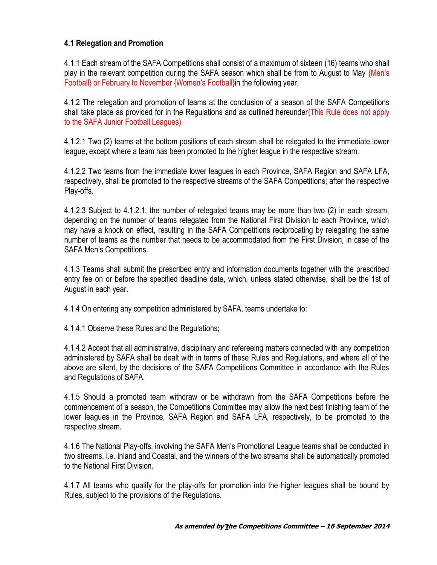### **4.1 Relegation and Promotion**

4.1.1 Each stream of the SAFA Competitions shall consist of a maximum of sixteen (16) teams who shall play in the relevant competition during the SAFA season which shall be from to August to May {Men's Football} or February to November {Women's Football}in the following year.

4.1.2 The relegation and promotion of teams at the conclusion of a season of the SAFA Competitions shall take place as provided for in the Regulations and as outlined hereunder(This Rule does not apply to the SAFA Junior Football Leagues)

4.1.2.1 Two (2) teams at the bottom positions of each stream shall be relegated to the immediate lower league, except where a team has been promoted to the higher league in the respective stream.

4.1.2.2 Two teams from the immediate lower leagues in each Province, SAFA Region and SAFA LFA, respectively, shall be promoted to the respective streams of the SAFA Competitions; after the respective Play-offs.

4.1.2.3 Subject to 4.1.2.1, the number of relegated teams may be more than two (2) in each stream, depending on the number of teams relegated from the National First Division to each Province, which may have a knock on effect, resulting in the SAFA Competitions reciprocating by relegating the same number of teams as the number that needs to be accommodated from the First Division, in case of the SAFA Men's Competitions.

4.1.3 Teams shall submit the prescribed entry and information documents together with the prescribed entry fee on or before the specified deadline date, which, unless stated otherwise, shall be the 1st of August in each year.

4.1.4 On entering any competition administered by SAFA, teams undertake to:

4.1.4.1 Observe these Rules and the Regulations;

4.1.4.2 Accept that all administrative, disciplinary and refereeing matters connected with any competition administered by SAFA shall be dealt with in terms of these Rules and Regulations, and where all of the above are silent, by the decisions of the SAFA Competitions Committee in accordance with the Rules and Regulations of SAFA.

4.1.5 Should a promoted team withdraw or be withdrawn from the SAFA Competitions before the commencement of a season, the Competitions Committee may allow the next best finishing team of the lower leagues in the Province, SAFA Region and SAFA LFA, respectively, to be promoted to the respective stream.

4.1.6 The National Play-offs, involving the SAFA Men's Promotional League teams shall be conducted in two streams, i.e. Inland and Coastal, and the winners of the two streams shall be automatically promoted to the National First Division.

4.1.7 All teams who qualify for the play-offs for promotion into the higher leagues shall be bound by Rules, subject to the provisions of the Regulations.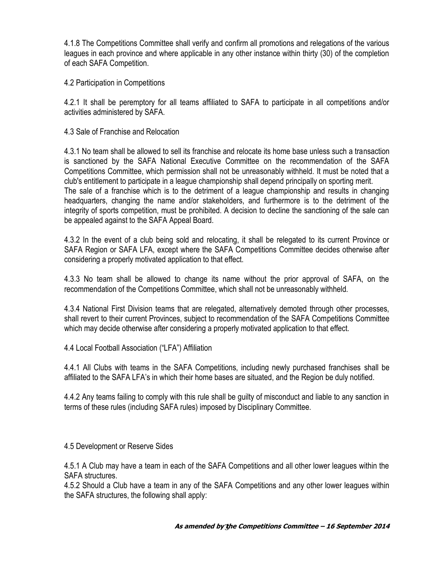4.1.8 The Competitions Committee shall verify and confirm all promotions and relegations of the various leagues in each province and where applicable in any other instance within thirty (30) of the completion of each SAFA Competition.

4.2 Participation in Competitions

4.2.1 It shall be peremptory for all teams affiliated to SAFA to participate in all competitions and/or activities administered by SAFA.

#### 4.3 Sale of Franchise and Relocation

4.3.1 No team shall be allowed to sell its franchise and relocate its home base unless such a transaction is sanctioned by the SAFA National Executive Committee on the recommendation of the SAFA Competitions Committee, which permission shall not be unreasonably withheld. It must be noted that a club's entitlement to participate in a league championship shall depend principally on sporting merit. The sale of a franchise which is to the detriment of a league championship and results in changing headquarters, changing the name and/or stakeholders, and furthermore is to the detriment of the integrity of sports competition, must be prohibited. A decision to decline the sanctioning of the sale can be appealed against to the SAFA Appeal Board.

4.3.2 In the event of a club being sold and relocating, it shall be relegated to its current Province or SAFA Region or SAFA LFA, except where the SAFA Competitions Committee decides otherwise after considering a properly motivated application to that effect.

4.3.3 No team shall be allowed to change its name without the prior approval of SAFA, on the recommendation of the Competitions Committee, which shall not be unreasonably withheld.

4.3.4 National First Division teams that are relegated, alternatively demoted through other processes, shall revert to their current Provinces, subject to recommendation of the SAFA Competitions Committee which may decide otherwise after considering a properly motivated application to that effect.

4.4 Local Football Association ("LFA") Affiliation

4.4.1 All Clubs with teams in the SAFA Competitions, including newly purchased franchises shall be affiliated to the SAFA LFA's in which their home bases are situated, and the Region be duly notified.

4.4.2 Any teams failing to comply with this rule shall be guilty of misconduct and liable to any sanction in terms of these rules (including SAFA rules) imposed by Disciplinary Committee.

4.5 Development or Reserve Sides

4.5.1 A Club may have a team in each of the SAFA Competitions and all other lower leagues within the SAFA structures.

4.5.2 Should a Club have a team in any of the SAFA Competitions and any other lower leagues within the SAFA structures, the following shall apply: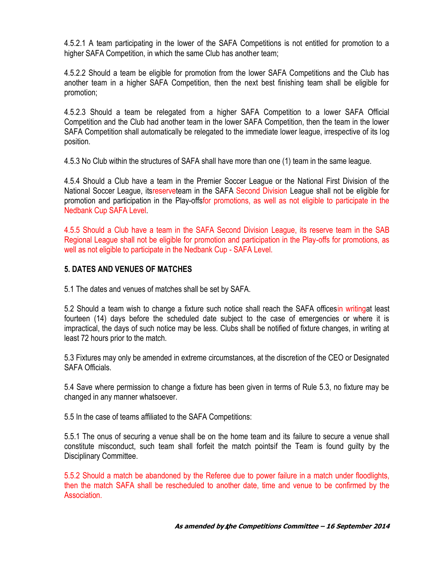4.5.2.1 A team participating in the lower of the SAFA Competitions is not entitled for promotion to a higher SAFA Competition, in which the same Club has another team;

4.5.2.2 Should a team be eligible for promotion from the lower SAFA Competitions and the Club has another team in a higher SAFA Competition, then the next best finishing team shall be eligible for promotion;

4.5.2.3 Should a team be relegated from a higher SAFA Competition to a lower SAFA Official Competition and the Club had another team in the lower SAFA Competition, then the team in the lower SAFA Competition shall automatically be relegated to the immediate lower league, irrespective of its log position.

4.5.3 No Club within the structures of SAFA shall have more than one (1) team in the same league.

4.5.4 Should a Club have a team in the Premier Soccer League or the National First Division of the National Soccer League, itsreserveteam in the SAFA Second Division League shall not be eligible for promotion and participation in the Play-offsfor promotions, as well as not eligible to participate in the Nedbank Cup SAFA Level.

4.5.5 Should a Club have a team in the SAFA Second Division League, its reserve team in the SAB Regional League shall not be eligible for promotion and participation in the Play-offs for promotions, as well as not eligible to participate in the Nedbank Cup - SAFA Level.

#### **5. DATES AND VENUES OF MATCHES**

5.1 The dates and venues of matches shall be set by SAFA.

5.2 Should a team wish to change a fixture such notice shall reach the SAFA officesin writingat least fourteen (14) days before the scheduled date subject to the case of emergencies or where it is impractical, the days of such notice may be less. Clubs shall be notified of fixture changes, in writing at least 72 hours prior to the match.

5.3 Fixtures may only be amended in extreme circumstances, at the discretion of the CEO or Designated SAFA Officials.

5.4 Save where permission to change a fixture has been given in terms of Rule 5.3, no fixture may be changed in any manner whatsoever.

5.5 In the case of teams affiliated to the SAFA Competitions:

5.5.1 The onus of securing a venue shall be on the home team and its failure to secure a venue shall constitute misconduct, such team shall forfeit the match pointsif the Team is found guilty by the Disciplinary Committee.

5.5.2 Should a match be abandoned by the Referee due to power failure in a match under floodlights, then the match SAFA shall be rescheduled to another date, time and venue to be confirmed by the Association.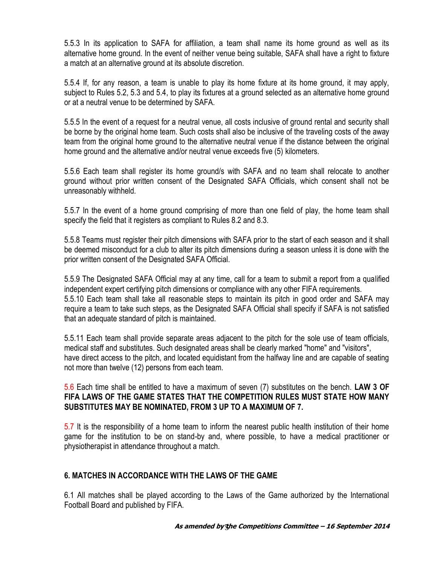5.5.3 In its application to SAFA for affiliation, a team shall name its home ground as well as its alternative home ground. In the event of neither venue being suitable, SAFA shall have a right to fixture a match at an alternative ground at its absolute discretion.

5.5.4 If, for any reason, a team is unable to play its home fixture at its home ground, it may apply, subject to Rules 5.2, 5.3 and 5.4, to play its fixtures at a ground selected as an alternative home ground or at a neutral venue to be determined by SAFA.

5.5.5 In the event of a request for a neutral venue, all costs inclusive of ground rental and security shall be borne by the original home team. Such costs shall also be inclusive of the traveling costs of the away team from the original home ground to the alternative neutral venue if the distance between the original home ground and the alternative and/or neutral venue exceeds five (5) kilometers.

5.5.6 Each team shall register its home ground/s with SAFA and no team shall relocate to another ground without prior written consent of the Designated SAFA Officials, which consent shall not be unreasonably withheld.

5.5.7 In the event of a home ground comprising of more than one field of play, the home team shall specify the field that it registers as compliant to Rules 8.2 and 8.3.

5.5.8 Teams must register their pitch dimensions with SAFA prior to the start of each season and it shall be deemed misconduct for a club to alter its pitch dimensions during a season unless it is done with the prior written consent of the Designated SAFA Official.

5.5.9 The Designated SAFA Official may at any time, call for a team to submit a report from a qualified independent expert certifying pitch dimensions or compliance with any other FIFA requirements. 5.5.10 Each team shall take all reasonable steps to maintain its pitch in good order and SAFA may require a team to take such steps, as the Designated SAFA Official shall specify if SAFA is not satisfied that an adequate standard of pitch is maintained.

5.5.11 Each team shall provide separate areas adjacent to the pitch for the sole use of team officials, medical staff and substitutes. Such designated areas shall be clearly marked "home" and "visitors", have direct access to the pitch, and located equidistant from the halfway line and are capable of seating not more than twelve (12) persons from each team.

5.6 Each time shall be entitled to have a maximum of seven (7) substitutes on the bench. **LAW 3 OF FIFA LAWS OF THE GAME STATES THAT THE COMPETITION RULES MUST STATE HOW MANY SUBSTITUTES MAY BE NOMINATED, FROM 3 UP TO A MAXIMUM OF 7.**

5.7 It is the responsibility of a home team to inform the nearest public health institution of their home game for the institution to be on stand-by and, where possible, to have a medical practitioner or physiotherapist in attendance throughout a match.

#### **6. MATCHES IN ACCORDANCE WITH THE LAWS OF THE GAME**

6.1 All matches shall be played according to the Laws of the Game authorized by the International Football Board and published by FIFA.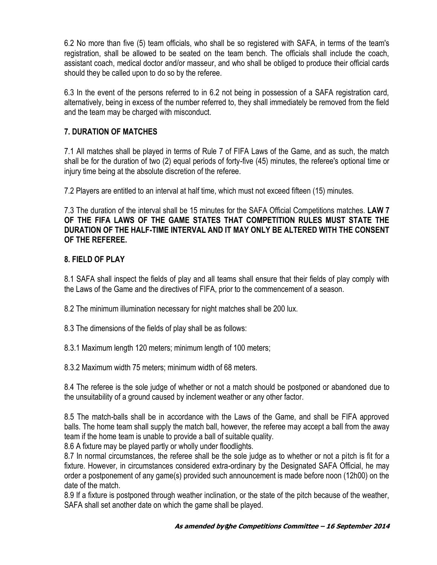6.2 No more than five (5) team officials, who shall be so registered with SAFA, in terms of the team's registration, shall be allowed to be seated on the team bench. The officials shall include the coach, assistant coach, medical doctor and/or masseur, and who shall be obliged to produce their official cards should they be called upon to do so by the referee.

6.3 In the event of the persons referred to in 6.2 not being in possession of a SAFA registration card, alternatively, being in excess of the number referred to, they shall immediately be removed from the field and the team may be charged with misconduct.

## **7. DURATION OF MATCHES**

7.1 All matches shall be played in terms of Rule 7 of FIFA Laws of the Game, and as such, the match shall be for the duration of two (2) equal periods of forty-five (45) minutes, the referee's optional time or injury time being at the absolute discretion of the referee.

7.2 Players are entitled to an interval at half time, which must not exceed fifteen (15) minutes.

7.3 The duration of the interval shall be 15 minutes for the SAFA Official Competitions matches. **LAW 7 OF THE FIFA LAWS OF THE GAME STATES THAT COMPETITION RULES MUST STATE THE DURATION OF THE HALF-TIME INTERVAL AND IT MAY ONLY BE ALTERED WITH THE CONSENT OF THE REFEREE.**

#### **8. FIELD OF PLAY**

8.1 SAFA shall inspect the fields of play and all teams shall ensure that their fields of play comply with the Laws of the Game and the directives of FIFA, prior to the commencement of a season.

8.2 The minimum illumination necessary for night matches shall be 200 lux.

8.3 The dimensions of the fields of play shall be as follows:

8.3.1 Maximum length 120 meters; minimum length of 100 meters;

8.3.2 Maximum width 75 meters; minimum width of 68 meters.

8.4 The referee is the sole judge of whether or not a match should be postponed or abandoned due to the unsuitability of a ground caused by inclement weather or any other factor.

8.5 The match-balls shall be in accordance with the Laws of the Game, and shall be FIFA approved balls. The home team shall supply the match ball, however, the referee may accept a ball from the away team if the home team is unable to provide a ball of suitable quality.

8.6 A fixture may be played partly or wholly under floodlights.

8.7 In normal circumstances, the referee shall be the sole judge as to whether or not a pitch is fit for a fixture. However, in circumstances considered extra-ordinary by the Designated SAFA Official, he may order a postponement of any game(s) provided such announcement is made before noon (12h00) on the date of the match.

8.9 If a fixture is postponed through weather inclination, or the state of the pitch because of the weather, SAFA shall set another date on which the game shall be played.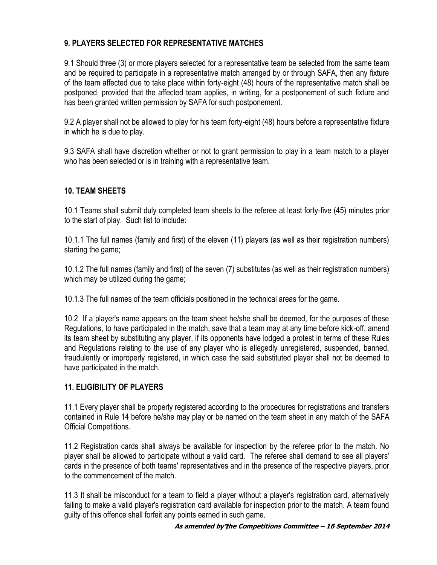# **9. PLAYERS SELECTED FOR REPRESENTATIVE MATCHES**

9.1 Should three (3) or more players selected for a representative team be selected from the same team and be required to participate in a representative match arranged by or through SAFA, then any fixture of the team affected due to take place within forty-eight (48) hours of the representative match shall be postponed, provided that the affected team applies, in writing, for a postponement of such fixture and has been granted written permission by SAFA for such postponement.

9.2 A player shall not be allowed to play for his team forty-eight (48) hours before a representative fixture in which he is due to play.

9.3 SAFA shall have discretion whether or not to grant permission to play in a team match to a player who has been selected or is in training with a representative team.

# **10. TEAM SHEETS**

10.1 Teams shall submit duly completed team sheets to the referee at least forty-five (45) minutes prior to the start of play. Such list to include:

10.1.1 The full names (family and first) of the eleven (11) players (as well as their registration numbers) starting the game;

10.1.2 The full names (family and first) of the seven (7) substitutes (as well as their registration numbers) which may be utilized during the game;

10.1.3 The full names of the team officials positioned in the technical areas for the game.

10.2 If a player's name appears on the team sheet he/she shall be deemed, for the purposes of these Regulations, to have participated in the match, save that a team may at any time before kick-off, amend its team sheet by substituting any player, if its opponents have lodged a protest in terms of these Rules and Regulations relating to the use of any player who is allegedly unregistered, suspended, banned, fraudulently or improperly registered, in which case the said substituted player shall not be deemed to have participated in the match.

#### **11. ELIGIBILITY OF PLAYERS**

11.1 Every player shall be properly registered according to the procedures for registrations and transfers contained in Rule 14 before he/she may play or be named on the team sheet in any match of the SAFA Official Competitions.

11.2 Registration cards shall always be available for inspection by the referee prior to the match. No player shall be allowed to participate without a valid card. The referee shall demand to see all players' cards in the presence of both teams' representatives and in the presence of the respective players, prior to the commencement of the match.

11.3 It shall be misconduct for a team to field a player without a player's registration card, alternatively failing to make a valid player's registration card available for inspection prior to the match. A team found guilty of this offence shall forfeit any points earned in such game.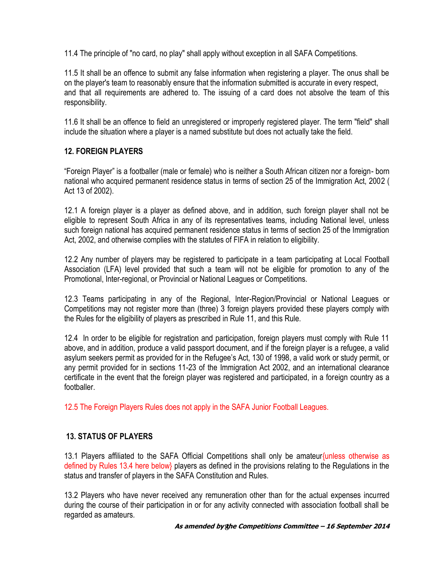11.4 The principle of "no card, no play" shall apply without exception in all SAFA Competitions.

11.5 It shall be an offence to submit any false information when registering a player. The onus shall be on the player's team to reasonably ensure that the information submitted is accurate in every respect, and that all requirements are adhered to. The issuing of a card does not absolve the team of this responsibility.

11.6 It shall be an offence to field an unregistered or improperly registered player. The term "field" shall include the situation where a player is a named substitute but does not actually take the field.

# **12. FOREIGN PLAYERS**

"Foreign Player" is a footballer (male or female) who is neither a South African citizen nor a foreign- born national who acquired permanent residence status in terms of section 25 of the Immigration Act, 2002 ( Act 13 of 2002).

12.1 A foreign player is a player as defined above, and in addition, such foreign player shall not be eligible to represent South Africa in any of its representatives teams, including National level, unless such foreign national has acquired permanent residence status in terms of section 25 of the Immigration Act, 2002, and otherwise complies with the statutes of FIFA in relation to eligibility.

12.2 Any number of players may be registered to participate in a team participating at Local Football Association (LFA) level provided that such a team will not be eligible for promotion to any of the Promotional, Inter-regional, or Provincial or National Leagues or Competitions.

12.3 Teams participating in any of the Regional, Inter-Region/Provincial or National Leagues or Competitions may not register more than (three) 3 foreign players provided these players comply with the Rules for the eligibility of players as prescribed in Rule 11, and this Rule.

12.4 In order to be eligible for registration and participation, foreign players must comply with Rule 11 above, and in addition, produce a valid passport document, and if the foreign player is a refugee, a valid asylum seekers permit as provided for in the Refugee's Act, 130 of 1998, a valid work or study permit, or any permit provided for in sections 11-23 of the Immigration Act 2002, and an international clearance certificate in the event that the foreign player was registered and participated, in a foreign country as a footballer.

12.5 The Foreign Players Rules does not apply in the SAFA Junior Football Leagues.

#### **13. STATUS OF PLAYERS**

13.1 Players affiliated to the SAFA Official Competitions shall only be amateur{unless otherwise as defined by Rules 13.4 here below} players as defined in the provisions relating to the Regulations in the status and transfer of players in the SAFA Constitution and Rules.

13.2 Players who have never received any remuneration other than for the actual expenses incurred during the course of their participation in or for any activity connected with association football shall be regarded as amateurs.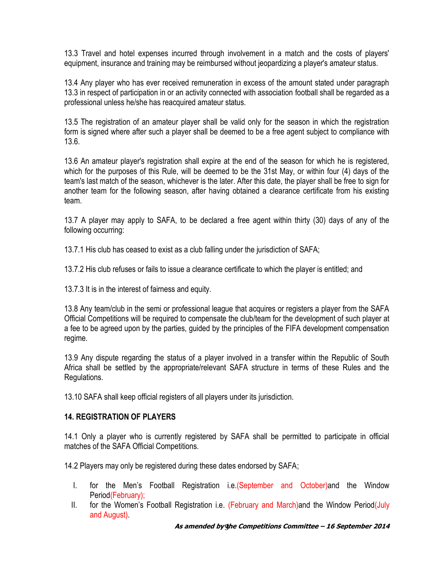13.3 Travel and hotel expenses incurred through involvement in a match and the costs of players' equipment, insurance and training may be reimbursed without jeopardizing a player's amateur status.

13.4 Any player who has ever received remuneration in excess of the amount stated under paragraph 13.3 in respect of participation in or an activity connected with association football shall be regarded as a professional unless he/she has reacquired amateur status.

13.5 The registration of an amateur player shall be valid only for the season in which the registration form is signed where after such a player shall be deemed to be a free agent subject to compliance with 13.6.

13.6 An amateur player's registration shall expire at the end of the season for which he is registered, which for the purposes of this Rule, will be deemed to be the 31st May, or within four (4) days of the team's last match of the season, whichever is the later. After this date, the player shall be free to sign for another team for the following season, after having obtained a clearance certificate from his existing team.

13.7 A player may apply to SAFA, to be declared a free agent within thirty (30) days of any of the following occurring:

13.7.1 His club has ceased to exist as a club falling under the jurisdiction of SAFA;

13.7.2 His club refuses or fails to issue a clearance certificate to which the player is entitled; and

13.7.3 It is in the interest of fairness and equity.

13.8 Any team/club in the semi or professional league that acquires or registers a player from the SAFA Official Competitions will be required to compensate the club/team for the development of such player at a fee to be agreed upon by the parties, guided by the principles of the FIFA development compensation regime.

13.9 Any dispute regarding the status of a player involved in a transfer within the Republic of South Africa shall be settled by the appropriate/relevant SAFA structure in terms of these Rules and the Regulations.

13.10 SAFA shall keep official registers of all players under its jurisdiction.

#### **14. REGISTRATION OF PLAYERS**

14.1 Only a player who is currently registered by SAFA shall be permitted to participate in official matches of the SAFA Official Competitions.

14.2 Players may only be registered during these dates endorsed by SAFA;

- I. for the Men's Football Registration i.e. (September and October) and the Window Period(February);
- II. for the Women's Football Registration i.e. (February and March)and the Window Period(July and August).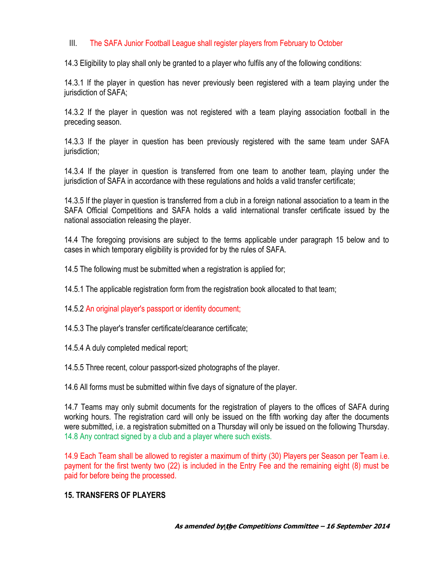#### III. The SAFA Junior Football League shall register players from February to October

14.3 Eligibility to play shall only be granted to a player who fulfils any of the following conditions:

14.3.1 If the player in question has never previously been registered with a team playing under the jurisdiction of SAFA;

14.3.2 If the player in question was not registered with a team playing association football in the preceding season.

14.3.3 If the player in question has been previously registered with the same team under SAFA jurisdiction;

14.3.4 If the player in question is transferred from one team to another team, playing under the jurisdiction of SAFA in accordance with these regulations and holds a valid transfer certificate;

14.3.5 If the player in question is transferred from a club in a foreign national association to a team in the SAFA Official Competitions and SAFA holds a valid international transfer certificate issued by the national association releasing the player.

14.4 The foregoing provisions are subject to the terms applicable under paragraph 15 below and to cases in which temporary eligibility is provided for by the rules of SAFA.

14.5 The following must be submitted when a registration is applied for;

14.5.1 The applicable registration form from the registration book allocated to that team;

14.5.2 An original player's passport or identity document;

14.5.3 The player's transfer certificate/clearance certificate;

14.5.4 A duly completed medical report;

14.5.5 Three recent, colour passport-sized photographs of the player.

14.6 All forms must be submitted within five days of signature of the player.

14.7 Teams may only submit documents for the registration of players to the offices of SAFA during working hours. The registration card will only be issued on the fifth working day after the documents were submitted, i.e. a registration submitted on a Thursday will only be issued on the following Thursday. 14.8 Any contract signed by a club and a player where such exists.

14.9 Each Team shall be allowed to register a maximum of thirty (30) Players per Season per Team i.e. payment for the first twenty two (22) is included in the Entry Fee and the remaining eight (8) must be paid for before being the processed.

#### **15. TRANSFERS OF PLAYERS**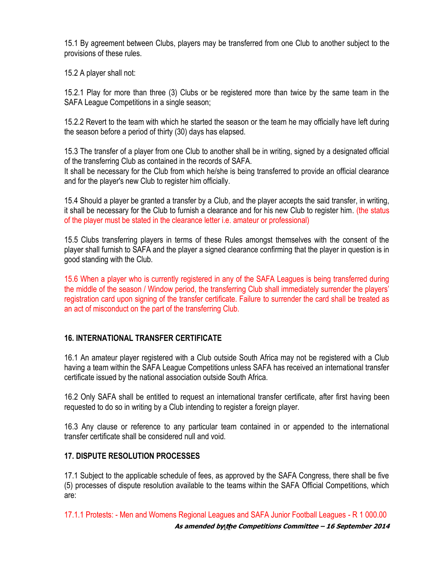15.1 By agreement between Clubs, players may be transferred from one Club to another subject to the provisions of these rules.

15.2 A player shall not:

15.2.1 Play for more than three (3) Clubs or be registered more than twice by the same team in the SAFA League Competitions in a single season;

15.2.2 Revert to the team with which he started the season or the team he may officially have left during the season before a period of thirty (30) days has elapsed.

15.3 The transfer of a player from one Club to another shall be in writing, signed by a designated official of the transferring Club as contained in the records of SAFA.

It shall be necessary for the Club from which he/she is being transferred to provide an official clearance and for the player's new Club to register him officially.

15.4 Should a player be granted a transfer by a Club, and the player accepts the said transfer, in writing, it shall be necessary for the Club to furnish a clearance and for his new Club to register him. (the status of the player must be stated in the clearance letter i.e. amateur or professional)

15.5 Clubs transferring players in terms of these Rules amongst themselves with the consent of the player shall furnish to SAFA and the player a signed clearance confirming that the player in question is in good standing with the Club.

15.6 When a player who is currently registered in any of the SAFA Leagues is being transferred during the middle of the season / Window period, the transferring Club shall immediately surrender the players' registration card upon signing of the transfer certificate. Failure to surrender the card shall be treated as an act of misconduct on the part of the transferring Club.

# **16. INTERNATIONAL TRANSFER CERTIFICATE**

16.1 An amateur player registered with a Club outside South Africa may not be registered with a Club having a team within the SAFA League Competitions unless SAFA has received an international transfer certificate issued by the national association outside South Africa.

16.2 Only SAFA shall be entitled to request an international transfer certificate, after first having been requested to do so in writing by a Club intending to register a foreign player.

16.3 Any clause or reference to any particular team contained in or appended to the international transfer certificate shall be considered null and void.

#### **17. DISPUTE RESOLUTION PROCESSES**

17.1 Subject to the applicable schedule of fees, as approved by the SAFA Congress, there shall be five (5) processes of dispute resolution available to the teams within the SAFA Official Competitions, which are:

**As amended by the Competitions Committee - 16 September 2014** 17.1.1 Protests: - Men and Womens Regional Leagues and SAFA Junior Football Leagues - R 1 000.00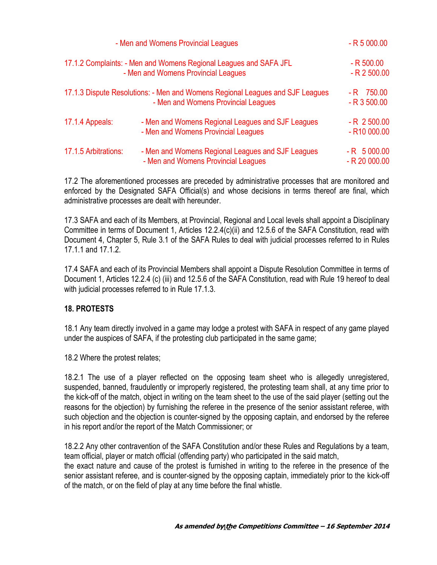| - Men and Womens Provincial Leagues<br>17.1.2 Complaints: - Men and Womens Regional Leagues and SAFA JFL<br>- Men and Womens Provincial Leagues<br>17.1.3 Dispute Resolutions: - Men and Womens Regional Leagues and SJF Leagues<br>- Men and Womens Provincial Leagues |  | $- R 5 000.00$<br>$- R 500.00$<br>$-R$ 2 500.00<br>$-R$ 750.00<br>$-R$ 3 500.00 |                      |                                                                                          |                                             |
|-------------------------------------------------------------------------------------------------------------------------------------------------------------------------------------------------------------------------------------------------------------------------|--|---------------------------------------------------------------------------------|----------------------|------------------------------------------------------------------------------------------|---------------------------------------------|
|                                                                                                                                                                                                                                                                         |  |                                                                                 | 17.1.4 Appeals:      | - Men and Womens Regional Leagues and SJF Leagues<br>- Men and Womens Provincial Leagues | $-R$ 2 500.00<br>$-$ R <sub>10</sub> 000.00 |
|                                                                                                                                                                                                                                                                         |  |                                                                                 | 17.1.5 Arbitrations: | - Men and Womens Regional Leagues and SJF Leagues<br>- Men and Womens Provincial Leagues | $-R$ 5 000.00<br>$- R 20 000.00$            |

17.2 The aforementioned processes are preceded by administrative processes that are monitored and enforced by the Designated SAFA Official(s) and whose decisions in terms thereof are final, which administrative processes are dealt with hereunder.

17.3 SAFA and each of its Members, at Provincial, Regional and Local levels shall appoint a Disciplinary Committee in terms of Document 1, Articles 12.2.4(c)(ii) and 12.5.6 of the SAFA Constitution, read with Document 4, Chapter 5, Rule 3.1 of the SAFA Rules to deal with judicial processes referred to in Rules 17.1.1 and 17.1.2.

17.4 SAFA and each of its Provincial Members shall appoint a Dispute Resolution Committee in terms of Document 1, Articles 12.2.4 (c) (iii) and 12.5.6 of the SAFA Constitution, read with Rule 19 hereof to deal with judicial processes referred to in Rule 17.1.3.

#### **18. PROTESTS**

18.1 Any team directly involved in a game may lodge a protest with SAFA in respect of any game played under the auspices of SAFA, if the protesting club participated in the same game;

18.2 Where the protest relates;

18.2.1 The use of a player reflected on the opposing team sheet who is allegedly unregistered, suspended, banned, fraudulently or improperly registered, the protesting team shall, at any time prior to the kick-off of the match, object in writing on the team sheet to the use of the said player (setting out the reasons for the objection) by furnishing the referee in the presence of the senior assistant referee, with such objection and the objection is counter-signed by the opposing captain, and endorsed by the referee in his report and/or the report of the Match Commissioner; or

18.2.2 Any other contravention of the SAFA Constitution and/or these Rules and Regulations by a team, team official, player or match official (offending party) who participated in the said match,

the exact nature and cause of the protest is furnished in writing to the referee in the presence of the senior assistant referee, and is counter-signed by the opposing captain, immediately prior to the kick-off of the match, or on the field of play at any time before the final whistle.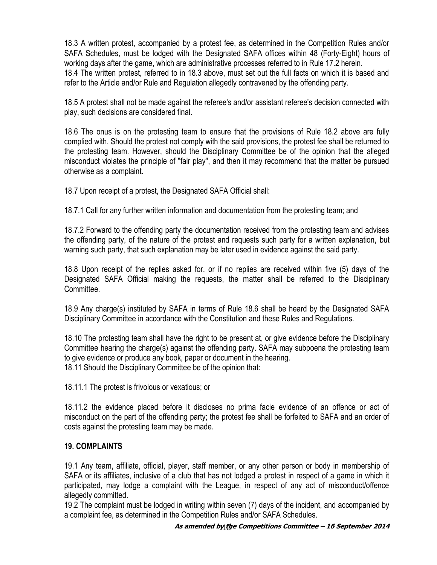18.3 A written protest, accompanied by a protest fee, as determined in the Competition Rules and/or SAFA Schedules, must be lodged with the Designated SAFA offices within 48 (Forty-Eight) hours of working days after the game, which are administrative processes referred to in Rule 17.2 herein. 18.4 The written protest, referred to in 18.3 above, must set out the full facts on which it is based and refer to the Article and/or Rule and Regulation allegedly contravened by the offending party.

18.5 A protest shall not be made against the referee's and/or assistant referee's decision connected with play, such decisions are considered final.

18.6 The onus is on the protesting team to ensure that the provisions of Rule 18.2 above are fully complied with. Should the protest not comply with the said provisions, the protest fee shall be returned to the protesting team. However, should the Disciplinary Committee be of the opinion that the alleged misconduct violates the principle of "fair play", and then it may recommend that the matter be pursued otherwise as a complaint.

18.7 Upon receipt of a protest, the Designated SAFA Official shall:

18.7.1 Call for any further written information and documentation from the protesting team; and

18.7.2 Forward to the offending party the documentation received from the protesting team and advises the offending party, of the nature of the protest and requests such party for a written explanation, but warning such party, that such explanation may be later used in evidence against the said party.

18.8 Upon receipt of the replies asked for, or if no replies are received within five (5) days of the Designated SAFA Official making the requests, the matter shall be referred to the Disciplinary Committee.

18.9 Any charge(s) instituted by SAFA in terms of Rule 18.6 shall be heard by the Designated SAFA Disciplinary Committee in accordance with the Constitution and these Rules and Regulations.

18.10 The protesting team shall have the right to be present at, or give evidence before the Disciplinary Committee hearing the charge(s) against the offending party. SAFA may subpoena the protesting team to give evidence or produce any book, paper or document in the hearing. 18.11 Should the Disciplinary Committee be of the opinion that:

18.11.1 The protest is frivolous or vexatious; or

18.11.2 the evidence placed before it discloses no prima facie evidence of an offence or act of misconduct on the part of the offending party; the protest fee shall be forfeited to SAFA and an order of costs against the protesting team may be made.

#### **19. COMPLAINTS**

19.1 Any team, affiliate, official, player, staff member, or any other person or body in membership of SAFA or its affiliates, inclusive of a club that has not lodged a protest in respect of a game in which it participated, may lodge a complaint with the League, in respect of any act of misconduct/offence allegedly committed.

19.2 The complaint must be lodged in writing within seven (7) days of the incident, and accompanied by a complaint fee, as determined in the Competition Rules and/or SAFA Schedules.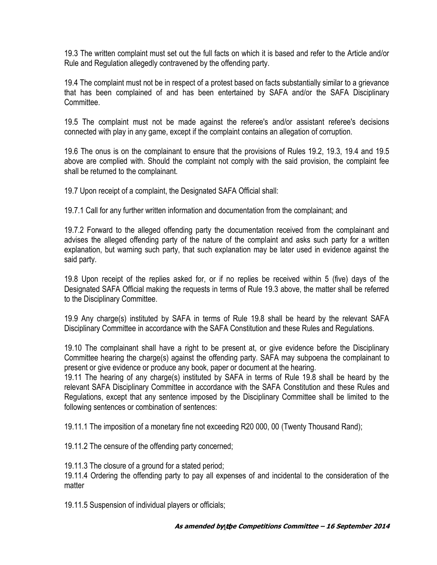19.3 The written complaint must set out the full facts on which it is based and refer to the Article and/or Rule and Regulation allegedly contravened by the offending party.

19.4 The complaint must not be in respect of a protest based on facts substantially similar to a grievance that has been complained of and has been entertained by SAFA and/or the SAFA Disciplinary Committee.

19.5 The complaint must not be made against the referee's and/or assistant referee's decisions connected with play in any game, except if the complaint contains an allegation of corruption.

19.6 The onus is on the complainant to ensure that the provisions of Rules 19.2, 19.3, 19.4 and 19.5 above are complied with. Should the complaint not comply with the said provision, the complaint fee shall be returned to the complainant.

19.7 Upon receipt of a complaint, the Designated SAFA Official shall:

19.7.1 Call for any further written information and documentation from the complainant; and

19.7.2 Forward to the alleged offending party the documentation received from the complainant and advises the alleged offending party of the nature of the complaint and asks such party for a written explanation, but warning such party, that such explanation may be later used in evidence against the said party.

19.8 Upon receipt of the replies asked for, or if no replies be received within 5 (five) days of the Designated SAFA Official making the requests in terms of Rule 19.3 above, the matter shall be referred to the Disciplinary Committee.

19.9 Any charge(s) instituted by SAFA in terms of Rule 19.8 shall be heard by the relevant SAFA Disciplinary Committee in accordance with the SAFA Constitution and these Rules and Regulations.

19.10 The complainant shall have a right to be present at, or give evidence before the Disciplinary Committee hearing the charge(s) against the offending party. SAFA may subpoena the complainant to present or give evidence or produce any book, paper or document at the hearing.

19.11 The hearing of any charge(s) instituted by SAFA in terms of Rule 19.8 shall be heard by the relevant SAFA Disciplinary Committee in accordance with the SAFA Constitution and these Rules and Regulations, except that any sentence imposed by the Disciplinary Committee shall be limited to the following sentences or combination of sentences:

19.11.1 The imposition of a monetary fine not exceeding R20 000, 00 (Twenty Thousand Rand);

19.11.2 The censure of the offending party concerned;

19.11.3 The closure of a ground for a stated period;

19.11.4 Ordering the offending party to pay all expenses of and incidental to the consideration of the matter

19.11.5 Suspension of individual players or officials;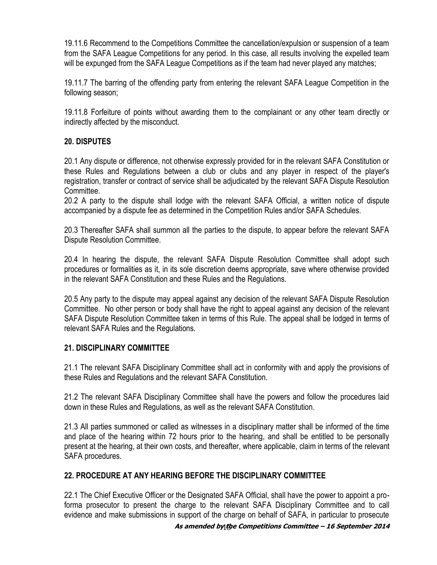19.11.6 Recommend to the Competitions Committee the cancellation/expulsion or suspension of a team from the SAFA League Competitions for any period. In this case, all results involving the expelled team will be expunged from the SAFA League Competitions as if the team had never played any matches;

19.11.7 The barring of the offending party from entering the relevant SAFA League Competition in the following season;

19.11.8 Forfeiture of points without awarding them to the complainant or any other team directly or indirectly affected by the misconduct.

#### **20. DISPUTES**

20.1 Any dispute or difference, not otherwise expressly provided for in the relevant SAFA Constitution or these Rules and Regulations between a club or clubs and any player in respect of the player's registration, transfer or contract of service shall be adjudicated by the relevant SAFA Dispute Resolution Committee.

20.2 A party to the dispute shall lodge with the relevant SAFA Official, a written notice of dispute accompanied by a dispute fee as determined in the Competition Rules and/or SAFA Schedules.

20.3 Thereafter SAFA shall summon all the parties to the dispute, to appear before the relevant SAFA Dispute Resolution Committee.

20.4 In hearing the dispute, the relevant SAFA Dispute Resolution Committee shall adopt such procedures or formalities as it, in its sole discretion deems appropriate, save where otherwise provided in the relevant SAFA Constitution and these Rules and the Regulations.

20.5 Any party to the dispute may appeal against any decision of the relevant SAFA Dispute Resolution Committee. No other person or body shall have the right to appeal against any decision of the relevant SAFA Dispute Resolution Committee taken in terms of this Rule. The appeal shall be lodged in terms of relevant SAFA Rules and the Regulations.

#### **21. DISCIPLINARY COMMITTEE**

21.1 The relevant SAFA Disciplinary Committee shall act in conformity with and apply the provisions of these Rules and Regulations and the relevant SAFA Constitution.

21.2 The relevant SAFA Disciplinary Committee shall have the powers and follow the procedures laid down in these Rules and Regulations, as well as the relevant SAFA Constitution.

21.3 All parties summoned or called as witnesses in a disciplinary matter shall be informed of the time and place of the hearing within 72 hours prior to the hearing, and shall be entitled to be personally present at the hearing, at their own costs, and thereafter, where applicable, claim in terms of the relevant SAFA procedures.

#### **22. PROCEDURE AT ANY HEARING BEFORE THE DISCIPLINARY COMMITTEE**

22.1 The Chief Executive Officer or the Designated SAFA Official, shall have the power to appoint a proforma prosecutor to present the charge to the relevant SAFA Disciplinary Committee and to call evidence and make submissions in support of the charge on behalf of SAFA, in particular to prosecute

#### **As amended by the** 15 **Competitions Committee – 16 September 2014**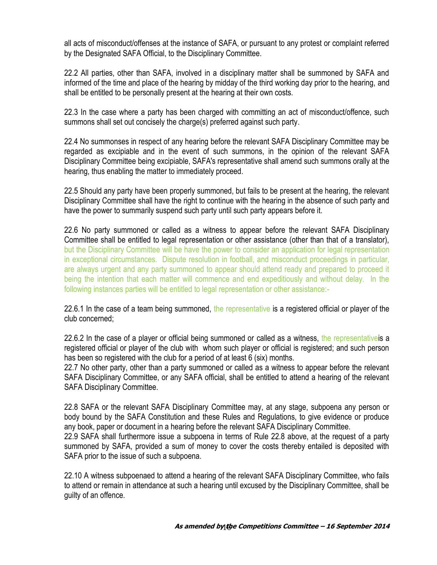all acts of misconduct/offenses at the instance of SAFA, or pursuant to any protest or complaint referred by the Designated SAFA Official, to the Disciplinary Committee.

22.2 All parties, other than SAFA, involved in a disciplinary matter shall be summoned by SAFA and informed of the time and place of the hearing by midday of the third working day prior to the hearing, and shall be entitled to be personally present at the hearing at their own costs.

22.3 In the case where a party has been charged with committing an act of misconduct/offence, such summons shall set out concisely the charge(s) preferred against such party.

22.4 No summonses in respect of any hearing before the relevant SAFA Disciplinary Committee may be regarded as excipiable and in the event of such summons, in the opinion of the relevant SAFA Disciplinary Committee being excipiable, SAFA's representative shall amend such summons orally at the hearing, thus enabling the matter to immediately proceed.

22.5 Should any party have been properly summoned, but fails to be present at the hearing, the relevant Disciplinary Committee shall have the right to continue with the hearing in the absence of such party and have the power to summarily suspend such party until such party appears before it.

22.6 No party summoned or called as a witness to appear before the relevant SAFA Disciplinary Committee shall be entitled to legal representation or other assistance (other than that of a translator), but the Disciplinary Committee will be have the power to consider an application for legal representation in exceptional circumstances. Dispute resolution in football, and misconduct proceedings in particular, are always urgent and any party summoned to appear should attend ready and prepared to proceed it being the intention that each matter will commence and end expeditiously and without delay. In the following instances parties will be entitled to legal representation or other assistance:-

22.6.1 In the case of a team being summoned, the representative is a registered official or player of the club concerned;

22.6.2 In the case of a player or official being summoned or called as a witness, the representativels a registered official or player of the club with whom such player or official is registered; and such person has been so registered with the club for a period of at least 6 (six) months.

22.7 No other party, other than a party summoned or called as a witness to appear before the relevant SAFA Disciplinary Committee, or any SAFA official, shall be entitled to attend a hearing of the relevant SAFA Disciplinary Committee.

22.8 SAFA or the relevant SAFA Disciplinary Committee may, at any stage, subpoena any person or body bound by the SAFA Constitution and these Rules and Regulations, to give evidence or produce any book, paper or document in a hearing before the relevant SAFA Disciplinary Committee.

22.9 SAFA shall furthermore issue a subpoena in terms of Rule 22.8 above, at the request of a party summoned by SAFA, provided a sum of money to cover the costs thereby entailed is deposited with SAFA prior to the issue of such a subpoena.

22.10 A witness subpoenaed to attend a hearing of the relevant SAFA Disciplinary Committee, who fails to attend or remain in attendance at such a hearing until excused by the Disciplinary Committee, shall be guilty of an offence.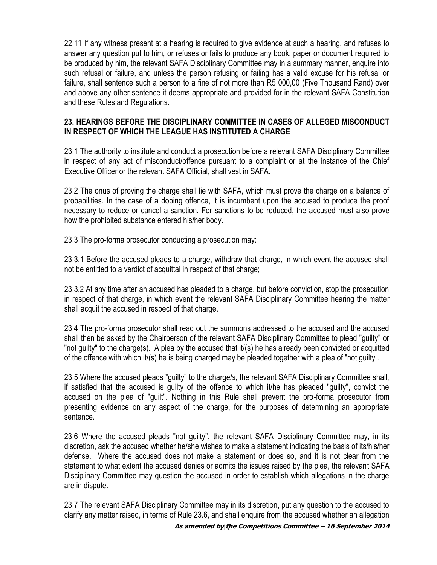22.11 If any witness present at a hearing is required to give evidence at such a hearing, and refuses to answer any question put to him, or refuses or fails to produce any book, paper or document required to be produced by him, the relevant SAFA Disciplinary Committee may in a summary manner, enquire into such refusal or failure, and unless the person refusing or failing has a valid excuse for his refusal or failure, shall sentence such a person to a fine of not more than R5 000,00 (Five Thousand Rand) over and above any other sentence it deems appropriate and provided for in the relevant SAFA Constitution and these Rules and Regulations.

#### **23. HEARINGS BEFORE THE DISCIPLINARY COMMITTEE IN CASES OF ALLEGED MISCONDUCT IN RESPECT OF WHICH THE LEAGUE HAS INSTITUTED A CHARGE**

23.1 The authority to institute and conduct a prosecution before a relevant SAFA Disciplinary Committee in respect of any act of misconduct/offence pursuant to a complaint or at the instance of the Chief Executive Officer or the relevant SAFA Official, shall vest in SAFA.

23.2 The onus of proving the charge shall lie with SAFA, which must prove the charge on a balance of probabilities. In the case of a doping offence, it is incumbent upon the accused to produce the proof necessary to reduce or cancel a sanction. For sanctions to be reduced, the accused must also prove how the prohibited substance entered his/her body.

23.3 The pro-forma prosecutor conducting a prosecution may:

23.3.1 Before the accused pleads to a charge, withdraw that charge, in which event the accused shall not be entitled to a verdict of acquittal in respect of that charge;

23.3.2 At any time after an accused has pleaded to a charge, but before conviction, stop the prosecution in respect of that charge, in which event the relevant SAFA Disciplinary Committee hearing the matter shall acquit the accused in respect of that charge.

23.4 The pro-forma prosecutor shall read out the summons addressed to the accused and the accused shall then be asked by the Chairperson of the relevant SAFA Disciplinary Committee to plead "guilty" or "not guilty" to the charge(s). A plea by the accused that  $t/(s)$  he has already been convicted or acquitted of the offence with which it/(s) he is being charged may be pleaded together with a plea of "not guilty".

23.5 Where the accused pleads "guilty" to the charge/s, the relevant SAFA Disciplinary Committee shall, if satisfied that the accused is guilty of the offence to which it/he has pleaded "guilty", convict the accused on the plea of "guilt". Nothing in this Rule shall prevent the pro-forma prosecutor from presenting evidence on any aspect of the charge, for the purposes of determining an appropriate sentence.

23.6 Where the accused pleads "not guilty", the relevant SAFA Disciplinary Committee may, in its discretion, ask the accused whether he/she wishes to make a statement indicating the basis of its/his/her defense. Where the accused does not make a statement or does so, and it is not clear from the statement to what extent the accused denies or admits the issues raised by the plea, the relevant SAFA Disciplinary Committee may question the accused in order to establish which allegations in the charge are in dispute.

**As amended by the** 17 **Competitions Committee – 16 September 2014** 23.7 The relevant SAFA Disciplinary Committee may in its discretion, put any question to the accused to clarify any matter raised, in terms of Rule 23.6, and shall enquire from the accused whether an allegation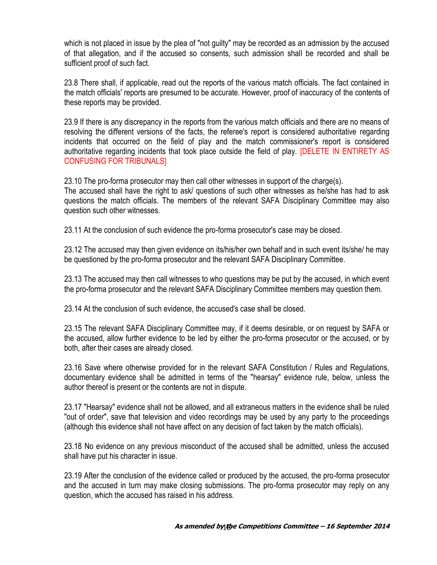which is not placed in issue by the plea of "not guilty" may be recorded as an admission by the accused of that allegation, and if the accused so consents, such admission shall be recorded and shall be sufficient proof of such fact.

23.8 There shall, if applicable, read out the reports of the various match officials. The fact contained in the match officials' reports are presumed to be accurate. However, proof of inaccuracy of the contents of these reports may be provided.

23.9 If there is any discrepancy in the reports from the various match officials and there are no means of resolving the different versions of the facts, the referee's report is considered authoritative regarding incidents that occurred on the field of play and the match commissioner's report is considered authoritative regarding incidents that took place outside the field of play. [DELETE IN ENTIRETY AS CONFUSING FOR TRIBUNALS]

23.10 The pro-forma prosecutor may then call other witnesses in support of the charge(s).

The accused shall have the right to ask/ questions of such other witnesses as he/she has had to ask questions the match officials. The members of the relevant SAFA Disciplinary Committee may also question such other witnesses.

23.11 At the conclusion of such evidence the pro-forma prosecutor's case may be closed.

23.12 The accused may then given evidence on its/his/her own behalf and in such event its/she/ he may be questioned by the pro-forma prosecutor and the relevant SAFA Disciplinary Committee.

23.13 The accused may then call witnesses to who questions may be put by the accused, in which event the pro-forma prosecutor and the relevant SAFA Disciplinary Committee members may question them.

23.14 At the conclusion of such evidence, the accused's case shall be closed.

23.15 The relevant SAFA Disciplinary Committee may, if it deems desirable, or on request by SAFA or the accused, allow further evidence to be led by either the pro-forma prosecutor or the accused, or by both, after their cases are already closed.

23.16 Save where otherwise provided for in the relevant SAFA Constitution / Rules and Regulations, documentary evidence shall be admitted in terms of the "hearsay" evidence rule, below, unless the author thereof is present or the contents are not in dispute.

23.17 "Hearsay" evidence shall not be allowed, and all extraneous matters in the evidence shall be ruled "out of order", save that television and video recordings may be used by any party to the proceedings (although this evidence shall not have affect on any decision of fact taken by the match officials).

23.18 No evidence on any previous misconduct of the accused shall be admitted, unless the accused shall have put his character in issue.

23.19 After the conclusion of the evidence called or produced by the accused, the pro-forma prosecutor and the accused in turn may make closing submissions. The pro-forma prosecutor may reply on any question, which the accused has raised in his address.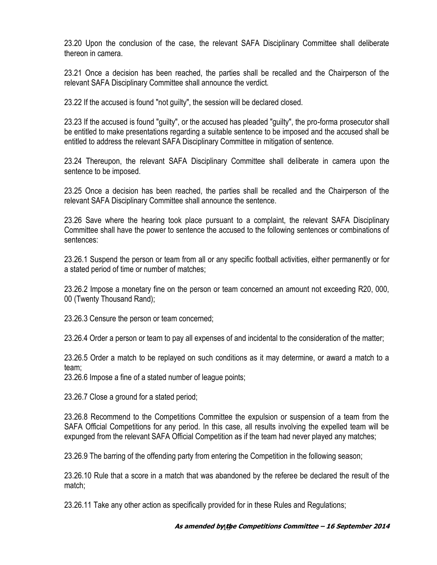23.20 Upon the conclusion of the case, the relevant SAFA Disciplinary Committee shall deliberate thereon in camera.

23.21 Once a decision has been reached, the parties shall be recalled and the Chairperson of the relevant SAFA Disciplinary Committee shall announce the verdict.

23.22 If the accused is found "not guilty", the session will be declared closed.

23.23 If the accused is found "guilty", or the accused has pleaded "guilty", the pro-forma prosecutor shall be entitled to make presentations regarding a suitable sentence to be imposed and the accused shall be entitled to address the relevant SAFA Disciplinary Committee in mitigation of sentence.

23.24 Thereupon, the relevant SAFA Disciplinary Committee shall deliberate in camera upon the sentence to be imposed.

23.25 Once a decision has been reached, the parties shall be recalled and the Chairperson of the relevant SAFA Disciplinary Committee shall announce the sentence.

23.26 Save where the hearing took place pursuant to a complaint, the relevant SAFA Disciplinary Committee shall have the power to sentence the accused to the following sentences or combinations of sentences:

23.26.1 Suspend the person or team from all or any specific football activities, either permanently or for a stated period of time or number of matches;

23.26.2 Impose a monetary fine on the person or team concerned an amount not exceeding R20, 000, 00 (Twenty Thousand Rand);

23.26.3 Censure the person or team concerned;

23.26.4 Order a person or team to pay all expenses of and incidental to the consideration of the matter;

23.26.5 Order a match to be replayed on such conditions as it may determine, or award a match to a team;

23.26.6 Impose a fine of a stated number of league points;

23.26.7 Close a ground for a stated period;

23.26.8 Recommend to the Competitions Committee the expulsion or suspension of a team from the SAFA Official Competitions for any period. In this case, all results involving the expelled team will be expunged from the relevant SAFA Official Competition as if the team had never played any matches;

23.26.9 The barring of the offending party from entering the Competition in the following season;

23.26.10 Rule that a score in a match that was abandoned by the referee be declared the result of the match;

23.26.11 Take any other action as specifically provided for in these Rules and Regulations;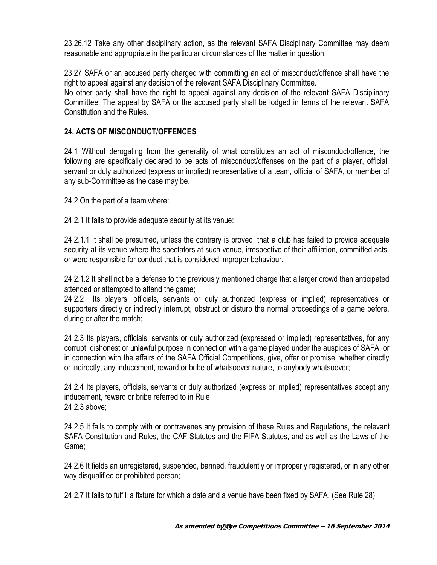23.26.12 Take any other disciplinary action, as the relevant SAFA Disciplinary Committee may deem reasonable and appropriate in the particular circumstances of the matter in question.

23.27 SAFA or an accused party charged with committing an act of misconduct/offence shall have the right to appeal against any decision of the relevant SAFA Disciplinary Committee. No other party shall have the right to appeal against any decision of the relevant SAFA Disciplinary

Committee. The appeal by SAFA or the accused party shall be lodged in terms of the relevant SAFA Constitution and the Rules.

### **24. ACTS OF MISCONDUCT/OFFENCES**

24.1 Without derogating from the generality of what constitutes an act of misconduct/offence, the following are specifically declared to be acts of misconduct/offenses on the part of a player, official, servant or duly authorized (express or implied) representative of a team, official of SAFA, or member of any sub-Committee as the case may be.

24.2 On the part of a team where:

24.2.1 It fails to provide adequate security at its venue:

24.2.1.1 It shall be presumed, unless the contrary is proved, that a club has failed to provide adequate security at its venue where the spectators at such venue, irrespective of their affiliation, committed acts, or were responsible for conduct that is considered improper behaviour.

24.2.1.2 It shall not be a defense to the previously mentioned charge that a larger crowd than anticipated attended or attempted to attend the game;

24.2.2 Its players, officials, servants or duly authorized (express or implied) representatives or supporters directly or indirectly interrupt, obstruct or disturb the normal proceedings of a game before, during or after the match;

24.2.3 Its players, officials, servants or duly authorized (expressed or implied) representatives, for any corrupt, dishonest or unlawful purpose in connection with a game played under the auspices of SAFA, or in connection with the affairs of the SAFA Official Competitions, give, offer or promise, whether directly or indirectly, any inducement, reward or bribe of whatsoever nature, to anybody whatsoever;

24.2.4 Its players, officials, servants or duly authorized (express or implied) representatives accept any inducement, reward or bribe referred to in Rule 24.2.3 above;

24.2.5 It fails to comply with or contravenes any provision of these Rules and Regulations, the relevant SAFA Constitution and Rules, the CAF Statutes and the FIFA Statutes, and as well as the Laws of the Game;

24.2.6 It fields an unregistered, suspended, banned, fraudulently or improperly registered, or in any other way disqualified or prohibited person;

24.2.7 It fails to fulfill a fixture for which a date and a venue have been fixed by SAFA. (See Rule 28)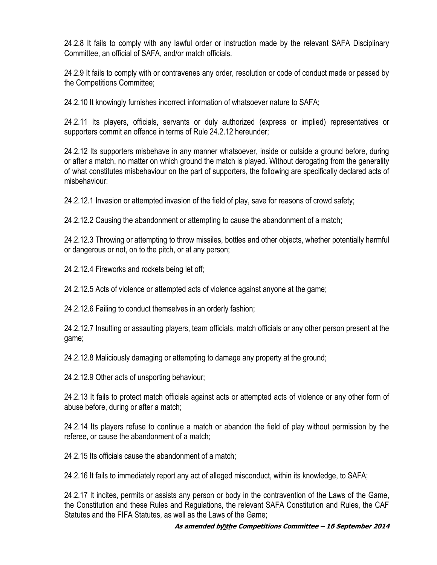24.2.8 It fails to comply with any lawful order or instruction made by the relevant SAFA Disciplinary Committee, an official of SAFA, and/or match officials.

24.2.9 It fails to comply with or contravenes any order, resolution or code of conduct made or passed by the Competitions Committee;

24.2.10 It knowingly furnishes incorrect information of whatsoever nature to SAFA;

24.2.11 Its players, officials, servants or duly authorized (express or implied) representatives or supporters commit an offence in terms of Rule 24.2.12 hereunder;

24.2.12 Its supporters misbehave in any manner whatsoever, inside or outside a ground before, during or after a match, no matter on which ground the match is played. Without derogating from the generality of what constitutes misbehaviour on the part of supporters, the following are specifically declared acts of misbehaviour:

24.2.12.1 Invasion or attempted invasion of the field of play, save for reasons of crowd safety;

24.2.12.2 Causing the abandonment or attempting to cause the abandonment of a match;

24.2.12.3 Throwing or attempting to throw missiles, bottles and other objects, whether potentially harmful or dangerous or not, on to the pitch, or at any person;

24.2.12.4 Fireworks and rockets being let off;

24.2.12.5 Acts of violence or attempted acts of violence against anyone at the game;

24.2.12.6 Failing to conduct themselves in an orderly fashion;

24.2.12.7 Insulting or assaulting players, team officials, match officials or any other person present at the game;

24.2.12.8 Maliciously damaging or attempting to damage any property at the ground;

24.2.12.9 Other acts of unsporting behaviour;

24.2.13 It fails to protect match officials against acts or attempted acts of violence or any other form of abuse before, during or after a match;

24.2.14 Its players refuse to continue a match or abandon the field of play without permission by the referee, or cause the abandonment of a match;

24.2.15 Its officials cause the abandonment of a match;

24.2.16 It fails to immediately report any act of alleged misconduct, within its knowledge, to SAFA;

24.2.17 It incites, permits or assists any person or body in the contravention of the Laws of the Game, the Constitution and these Rules and Regulations, the relevant SAFA Constitution and Rules, the CAF Statutes and the FIFA Statutes, as well as the Laws of the Game;

#### **As amended by the** 21 **Competitions Committee – 16 September 2014**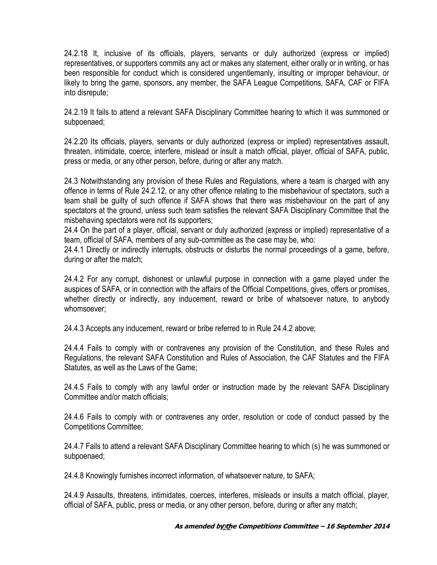24.2.18 It, inclusive of its officials, players, servants or duly authorized (express or implied) representatives, or supporters commits any act or makes any statement, either orally or in writing, or has been responsible for conduct which is considered ungentlemanly, insulting or improper behaviour, or likely to bring the game, sponsors, any member, the SAFA League Competitions, SAFA, CAF or FIFA into disrepute;

24.2.19 It fails to attend a relevant SAFA Disciplinary Committee hearing to which it was summoned or subpoenaed;

24.2.20 Its officials, players, servants or duly authorized (express or implied) representatives assault, threaten, intimidate, coerce, interfere, mislead or insult a match official, player, official of SAFA, public, press or media, or any other person, before, during or after any match.

24.3 Notwithstanding any provision of these Rules and Regulations, where a team is charged with any offence in terms of Rule 24.2.12, or any other offence relating to the misbehaviour of spectators, such a team shall be guilty of such offence if SAFA shows that there was misbehaviour on the part of any spectators at the ground, unless such team satisfies the relevant SAFA Disciplinary Committee that the misbehaving spectators were not its supporters;

24.4 On the part of a player, official, servant or duly authorized (express or implied) representative of a team, official of SAFA, members of any sub-committee as the case may be, who:

24.4.1 Directly or indirectly interrupts, obstructs or disturbs the normal proceedings of a game, before, during or after the match;

24.4.2 For any corrupt, dishonest or unlawful purpose in connection with a game played under the auspices of SAFA, or in connection with the affairs of the Official Competitions, gives, offers or promises, whether directly or indirectly, any inducement, reward or bribe of whatsoever nature, to anybody whomsoever;

24.4.3 Accepts any inducement, reward or bribe referred to in Rule 24.4.2 above;

24.4.4 Fails to comply with or contravenes any provision of the Constitution, and these Rules and Regulations, the relevant SAFA Constitution and Rules of Association, the CAF Statutes and the FIFA Statutes, as well as the Laws of the Game;

24.4.5 Fails to comply with any lawful order or instruction made by the relevant SAFA Disciplinary Committee and/or match officials;

24.4.6 Fails to comply with or contravenes any order, resolution or code of conduct passed by the Competitions Committee;

24.4.7 Fails to attend a relevant SAFA Disciplinary Committee hearing to which (s) he was summoned or subpoenaed;

24.4.8 Knowingly furnishes incorrect information, of whatsoever nature, to SAFA;

24.4.9 Assaults, threatens, intimidates, coerces, interferes, misleads or insults a match official, player, official of SAFA, public, press or media, or any other person, before, during or after any match;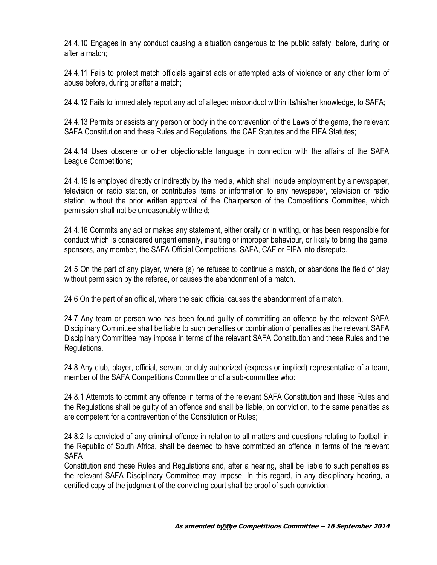24.4.10 Engages in any conduct causing a situation dangerous to the public safety, before, during or after a match;

24.4.11 Fails to protect match officials against acts or attempted acts of violence or any other form of abuse before, during or after a match;

24.4.12 Fails to immediately report any act of alleged misconduct within its/his/her knowledge, to SAFA;

24.4.13 Permits or assists any person or body in the contravention of the Laws of the game, the relevant SAFA Constitution and these Rules and Regulations, the CAF Statutes and the FIFA Statutes;

24.4.14 Uses obscene or other objectionable language in connection with the affairs of the SAFA League Competitions;

24.4.15 Is employed directly or indirectly by the media, which shall include employment by a newspaper, television or radio station, or contributes items or information to any newspaper, television or radio station, without the prior written approval of the Chairperson of the Competitions Committee, which permission shall not be unreasonably withheld;

24.4.16 Commits any act or makes any statement, either orally or in writing, or has been responsible for conduct which is considered ungentlemanly, insulting or improper behaviour, or likely to bring the game, sponsors, any member, the SAFA Official Competitions, SAFA, CAF or FIFA into disrepute.

24.5 On the part of any player, where (s) he refuses to continue a match, or abandons the field of play without permission by the referee, or causes the abandonment of a match.

24.6 On the part of an official, where the said official causes the abandonment of a match.

24.7 Any team or person who has been found guilty of committing an offence by the relevant SAFA Disciplinary Committee shall be liable to such penalties or combination of penalties as the relevant SAFA Disciplinary Committee may impose in terms of the relevant SAFA Constitution and these Rules and the Regulations.

24.8 Any club, player, official, servant or duly authorized (express or implied) representative of a team, member of the SAFA Competitions Committee or of a sub-committee who:

24.8.1 Attempts to commit any offence in terms of the relevant SAFA Constitution and these Rules and the Regulations shall be guilty of an offence and shall be liable, on conviction, to the same penalties as are competent for a contravention of the Constitution or Rules;

24.8.2 Is convicted of any criminal offence in relation to all matters and questions relating to football in the Republic of South Africa, shall be deemed to have committed an offence in terms of the relevant SAFA

Constitution and these Rules and Regulations and, after a hearing, shall be liable to such penalties as the relevant SAFA Disciplinary Committee may impose. In this regard, in any disciplinary hearing, a certified copy of the judgment of the convicting court shall be proof of such conviction.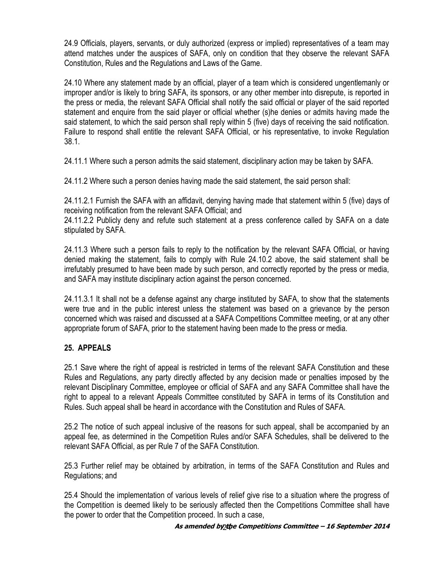24.9 Officials, players, servants, or duly authorized (express or implied) representatives of a team may attend matches under the auspices of SAFA, only on condition that they observe the relevant SAFA Constitution, Rules and the Regulations and Laws of the Game.

24.10 Where any statement made by an official, player of a team which is considered ungentlemanly or improper and/or is likely to bring SAFA, its sponsors, or any other member into disrepute, is reported in the press or media, the relevant SAFA Official shall notify the said official or player of the said reported statement and enquire from the said player or official whether (s)he denies or admits having made the said statement, to which the said person shall reply within 5 (five) days of receiving the said notification. Failure to respond shall entitle the relevant SAFA Official, or his representative, to invoke Regulation 38.1.

24.11.1 Where such a person admits the said statement, disciplinary action may be taken by SAFA.

24.11.2 Where such a person denies having made the said statement, the said person shall:

24.11.2.1 Furnish the SAFA with an affidavit, denying having made that statement within 5 (five) days of receiving notification from the relevant SAFA Official; and

24.11.2.2 Publicly deny and refute such statement at a press conference called by SAFA on a date stipulated by SAFA.

24.11.3 Where such a person fails to reply to the notification by the relevant SAFA Official, or having denied making the statement, fails to comply with Rule 24.10.2 above, the said statement shall be irrefutably presumed to have been made by such person, and correctly reported by the press or media, and SAFA may institute disciplinary action against the person concerned.

24.11.3.1 It shall not be a defense against any charge instituted by SAFA, to show that the statements were true and in the public interest unless the statement was based on a grievance by the person concerned which was raised and discussed at a SAFA Competitions Committee meeting, or at any other appropriate forum of SAFA, prior to the statement having been made to the press or media.

# **25. APPEALS**

25.1 Save where the right of appeal is restricted in terms of the relevant SAFA Constitution and these Rules and Regulations, any party directly affected by any decision made or penalties imposed by the relevant Disciplinary Committee, employee or official of SAFA and any SAFA Committee shall have the right to appeal to a relevant Appeals Committee constituted by SAFA in terms of its Constitution and Rules. Such appeal shall be heard in accordance with the Constitution and Rules of SAFA.

25.2 The notice of such appeal inclusive of the reasons for such appeal, shall be accompanied by an appeal fee, as determined in the Competition Rules and/or SAFA Schedules, shall be delivered to the relevant SAFA Official, as per Rule 7 of the SAFA Constitution.

25.3 Further relief may be obtained by arbitration, in terms of the SAFA Constitution and Rules and Regulations; and

25.4 Should the implementation of various levels of relief give rise to a situation where the progress of the Competition is deemed likely to be seriously affected then the Competitions Committee shall have the power to order that the Competition proceed. In such a case,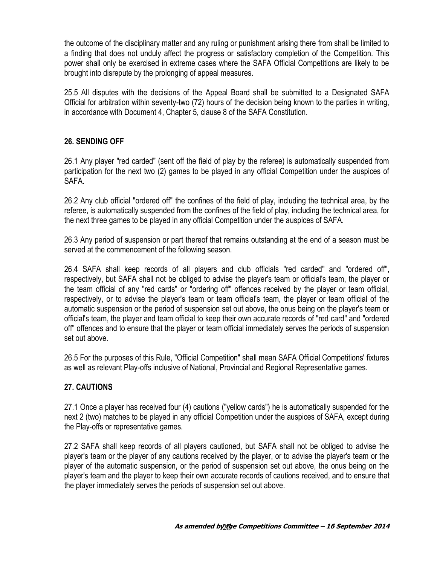the outcome of the disciplinary matter and any ruling or punishment arising there from shall be limited to a finding that does not unduly affect the progress or satisfactory completion of the Competition. This power shall only be exercised in extreme cases where the SAFA Official Competitions are likely to be brought into disrepute by the prolonging of appeal measures.

25.5 All disputes with the decisions of the Appeal Board shall be submitted to a Designated SAFA Official for arbitration within seventy-two (72) hours of the decision being known to the parties in writing, in accordance with Document 4, Chapter 5, clause 8 of the SAFA Constitution.

## **26. SENDING OFF**

26.1 Any player "red carded" (sent off the field of play by the referee) is automatically suspended from participation for the next two (2) games to be played in any official Competition under the auspices of SAFA.

26.2 Any club official "ordered off" the confines of the field of play, including the technical area, by the referee, is automatically suspended from the confines of the field of play, including the technical area, for the next three games to be played in any official Competition under the auspices of SAFA.

26.3 Any period of suspension or part thereof that remains outstanding at the end of a season must be served at the commencement of the following season.

26.4 SAFA shall keep records of all players and club officials "red carded" and "ordered off", respectively, but SAFA shall not be obliged to advise the player's team or official's team, the player or the team official of any "red cards" or "ordering off" offences received by the player or team official, respectively, or to advise the player's team or team official's team, the player or team official of the automatic suspension or the period of suspension set out above, the onus being on the player's team or official's team, the player and team official to keep their own accurate records of "red card" and "ordered off" offences and to ensure that the player or team official immediately serves the periods of suspension set out above.

26.5 For the purposes of this Rule, "Official Competition" shall mean SAFA Official Competitions' fixtures as well as relevant Play-offs inclusive of National, Provincial and Regional Representative games.

# **27. CAUTIONS**

27.1 Once a player has received four (4) cautions ("yellow cards") he is automatically suspended for the next 2 (two) matches to be played in any official Competition under the auspices of SAFA, except during the Play-offs or representative games.

27.2 SAFA shall keep records of all players cautioned, but SAFA shall not be obliged to advise the player's team or the player of any cautions received by the player, or to advise the player's team or the player of the automatic suspension, or the period of suspension set out above, the onus being on the player's team and the player to keep their own accurate records of cautions received, and to ensure that the player immediately serves the periods of suspension set out above.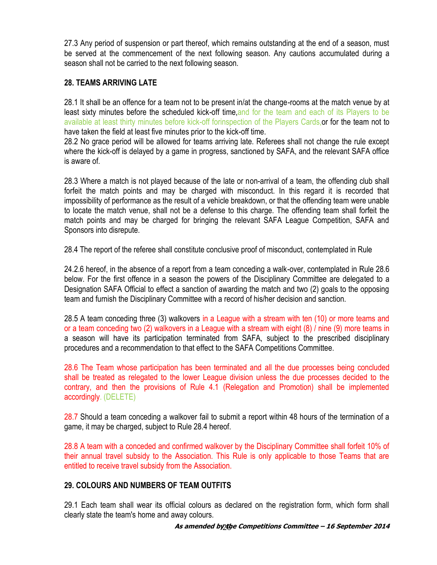27.3 Any period of suspension or part thereof, which remains outstanding at the end of a season, must be served at the commencement of the next following season. Any cautions accumulated during a season shall not be carried to the next following season.

# **28. TEAMS ARRIVING LATE**

28.1 It shall be an offence for a team not to be present in/at the change-rooms at the match venue by at least sixty minutes before the scheduled kick-off time, and for the team and each of its Players to be available at least thirty minutes before kick-off forinspection of the Players Cards, or for the team not to have taken the field at least five minutes prior to the kick-off time.

28.2 No grace period will be allowed for teams arriving late. Referees shall not change the rule except where the kick-off is delayed by a game in progress, sanctioned by SAFA, and the relevant SAFA office is aware of.

28.3 Where a match is not played because of the late or non-arrival of a team, the offending club shall forfeit the match points and may be charged with misconduct. In this regard it is recorded that impossibility of performance as the result of a vehicle breakdown, or that the offending team were unable to locate the match venue, shall not be a defense to this charge. The offending team shall forfeit the match points and may be charged for bringing the relevant SAFA League Competition, SAFA and Sponsors into disrepute.

28.4 The report of the referee shall constitute conclusive proof of misconduct, contemplated in Rule

24.2.6 hereof, in the absence of a report from a team conceding a walk-over, contemplated in Rule 28.6 below. For the first offence in a season the powers of the Disciplinary Committee are delegated to a Designation SAFA Official to effect a sanction of awarding the match and two (2) goals to the opposing team and furnish the Disciplinary Committee with a record of his/her decision and sanction.

28.5 A team conceding three (3) walkovers in a League with a stream with ten (10) or more teams and or a team conceding two (2) walkovers in a League with a stream with eight (8) / nine (9) more teams in a season will have its participation terminated from SAFA, subject to the prescribed disciplinary procedures and a recommendation to that effect to the SAFA Competitions Committee.

28.6 The Team whose participation has been terminated and all the due processes being concluded shall be treated as relegated to the lower League division unless the due processes decided to the contrary, and then the provisions of Rule 4.1 (Relegation and Promotion) shall be implemented accordingly. (DELETE)

28.7 Should a team conceding a walkover fail to submit a report within 48 hours of the termination of a game, it may be charged, subject to Rule 28.4 hereof.

28.8 A team with a conceded and confirmed walkover by the Disciplinary Committee shall forfeit 10% of their annual travel subsidy to the Association. This Rule is only applicable to those Teams that are entitled to receive travel subsidy from the Association.

#### **29. COLOURS AND NUMBERS OF TEAM OUTFITS**

29.1 Each team shall wear its official colours as declared on the registration form, which form shall clearly state the team's home and away colours.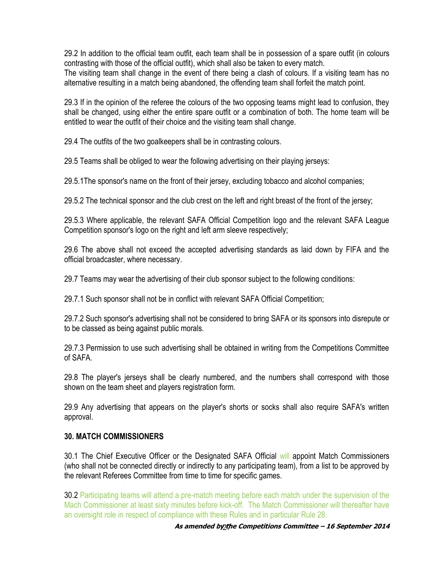29.2 In addition to the official team outfit, each team shall be in possession of a spare outfit (in colours contrasting with those of the official outfit), which shall also be taken to every match. The visiting team shall change in the event of there being a clash of colours. If a visiting team has no alternative resulting in a match being abandoned, the offending team shall forfeit the match point.

29.3 If in the opinion of the referee the colours of the two opposing teams might lead to confusion, they shall be changed, using either the entire spare outfit or a combination of both. The home team will be entitled to wear the outfit of their choice and the visiting team shall change.

29.4 The outfits of the two goalkeepers shall be in contrasting colours.

29.5 Teams shall be obliged to wear the following advertising on their playing jerseys:

29.5.1The sponsor's name on the front of their jersey, excluding tobacco and alcohol companies;

29.5.2 The technical sponsor and the club crest on the left and right breast of the front of the jersey;

29.5.3 Where applicable, the relevant SAFA Official Competition logo and the relevant SAFA League Competition sponsor's logo on the right and left arm sleeve respectively;

29.6 The above shall not exceed the accepted advertising standards as laid down by FIFA and the official broadcaster, where necessary.

29.7 Teams may wear the advertising of their club sponsor subject to the following conditions:

29.7.1 Such sponsor shall not be in conflict with relevant SAFA Official Competition;

29.7.2 Such sponsor's advertising shall not be considered to bring SAFA or its sponsors into disrepute or to be classed as being against public morals.

29.7.3 Permission to use such advertising shall be obtained in writing from the Competitions Committee of SAFA.

29.8 The player's jerseys shall be clearly numbered, and the numbers shall correspond with those shown on the team sheet and players registration form.

29.9 Any advertising that appears on the player's shorts or socks shall also require SAFA's written approval.

#### **30. MATCH COMMISSIONERS**

30.1 The Chief Executive Officer or the Designated SAFA Official will appoint Match Commissioners (who shall not be connected directly or indirectly to any participating team), from a list to be approved by the relevant Referees Committee from time to time for specific games.

30.2 Participating teams will attend a pre-match meeting before each match under the supervision of the Mach Commissioner at least sixty minutes before kick-off. The Match Commissioner will thereafter have an oversight role in respect of compliance with these Rules and in particular Rule 28.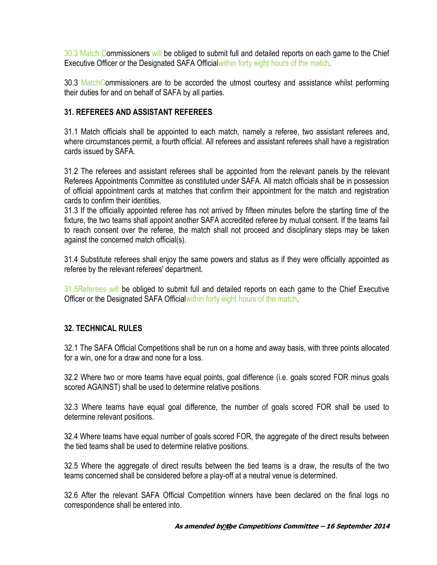30.3 Match Commissioners will be obliged to submit full and detailed reports on each game to the Chief Executive Officer or the Designated SAFA Officialwithin forty eight hours of the match.

30.3 MatchCommissioners are to be accorded the utmost courtesy and assistance whilst performing their duties for and on behalf of SAFA by all parties.

### **31. REFEREES AND ASSISTANT REFEREES**

31.1 Match officials shall be appointed to each match, namely a referee, two assistant referees and, where circumstances permit, a fourth official. All referees and assistant referees shall have a registration cards issued by SAFA.

31.2 The referees and assistant referees shall be appointed from the relevant panels by the relevant Referees Appointments Committee as constituted under SAFA. All match officials shall be in possession of official appointment cards at matches that confirm their appointment for the match and registration cards to confirm their identities.

31.3 If the officially appointed referee has not arrived by fifteen minutes before the starting time of the fixture, the two teams shall appoint another SAFA accredited referee by mutual consent. If the teams fail to reach consent over the referee, the match shall not proceed and disciplinary steps may be taken against the concerned match official(s).

31.4 Substitute referees shall enjoy the same powers and status as if they were officially appointed as referee by the relevant referees' department.

31.5Referees will be obliged to submit full and detailed reports on each game to the Chief Executive Officer or the Designated SAFA Officialwithin forty eight hours of the match.

#### **32. TECHNICAL RULES**

32.1 The SAFA Official Competitions shall be run on a home and away basis, with three points allocated for a win, one for a draw and none for a loss.

32.2 Where two or more teams have equal points, goal difference (i.e. goals scored FOR minus goals scored AGAINST) shall be used to determine relative positions.

32.3 Where teams have equal goal difference, the number of goals scored FOR shall be used to determine relevant positions.

32.4 Where teams have equal number of goals scored FOR, the aggregate of the direct results between the tied teams shall be used to determine relative positions.

32.5 Where the aggregate of direct results between the tied teams is a draw, the results of the two teams concerned shall be considered before a play-off at a neutral venue is determined.

32.6 After the relevant SAFA Official Competition winners have been declared on the final logs no correspondence shall be entered into.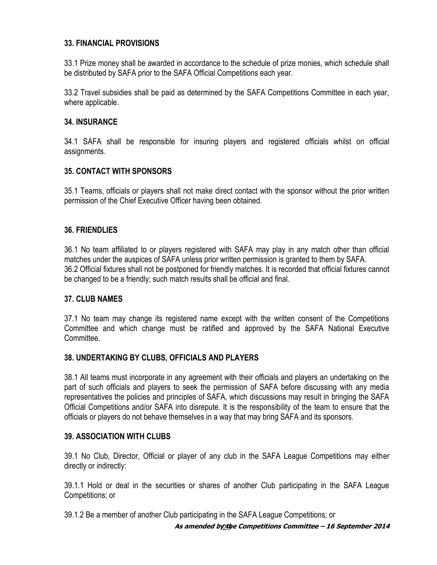#### **33. FINANCIAL PROVISIONS**

33.1 Prize money shall be awarded in accordance to the schedule of prize monies, which schedule shall be distributed by SAFA prior to the SAFA Official Competitions each year.

33.2 Travel subsidies shall be paid as determined by the SAFA Competitions Committee in each year, where applicable.

#### **34. INSURANCE**

34.1 SAFA shall be responsible for insuring players and registered officials whilst on official assignments.

## **35. CONTACT WITH SPONSORS**

35.1 Teams, officials or players shall not make direct contact with the sponsor without the prior written permission of the Chief Executive Officer having been obtained.

## **36. FRIENDLIES**

36.1 No team affiliated to or players registered with SAFA may play in any match other than official matches under the auspices of SAFA unless prior written permission is granted to them by SAFA. 36.2 Official fixtures shall not be postponed for friendly matches. It is recorded that official fixtures cannot be changed to be a friendly; such match results shall be official and final.

#### **37. CLUB NAMES**

37.1 No team may change its registered name except with the written consent of the Competitions Committee and which change must be ratified and approved by the SAFA National Executive **Committee** 

#### **38. UNDERTAKING BY CLUBS, OFFICIALS AND PLAYERS**

38.1 All teams must incorporate in any agreement with their officials and players an undertaking on the part of such officials and players to seek the permission of SAFA before discussing with any media representatives the policies and principles of SAFA, which discussions may result in bringing the SAFA Official Competitions and/or SAFA into disrepute. It is the responsibility of the team to ensure that the officials or players do not behave themselves in a way that may bring SAFA and its sponsors.

#### **39. ASSOCIATION WITH CLUBS**

39.1 No Club, Director, Official or player of any club in the SAFA League Competitions may either directly or indirectly:

39.1.1 Hold or deal in the securities or shares of another Club participating in the SAFA League Competitions; or

39.1.2 Be a member of another Club participating in the SAFA League Competitions; or